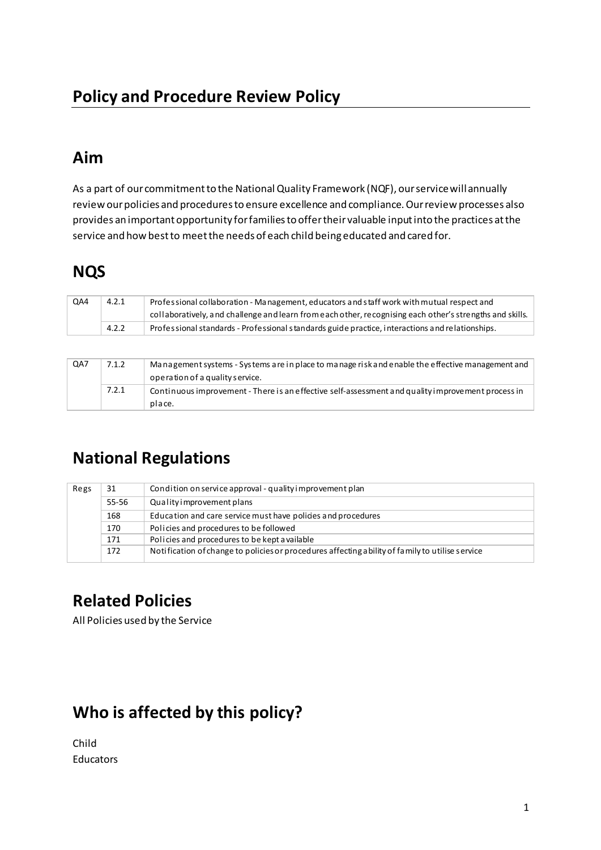### Aim

As a part of our commitment to the National Quality Framework (NQF), our service will annually review our policies and procedures to ensure excellence and compliance. Our review processes also provides an important opportunity for families to offer their valuable input into the practices at the service and how best to meet the needs of each child being educated and cared for.

# **NQS**

| QA4 | 4.2.1 | Professional collaboration - Management, educators and staff work with mutual respect and<br>collaboratively, and challenge and learn from each other, recognising each other's strengths and skills. |
|-----|-------|-------------------------------------------------------------------------------------------------------------------------------------------------------------------------------------------------------|
|     | 4.2.2 | Professional standards - Professional standards guide practice, interactions and relationships.                                                                                                       |

| QA7 | 7.1.2 | Management systems - Systems are in place to manage risk and enable the effective management and<br>operation of a quality service. |
|-----|-------|-------------------------------------------------------------------------------------------------------------------------------------|
|     | 7.2.1 | Continuous improvement - There is an effective self-assessment and quality improvement process in<br>place.                         |

## **National Regulations**

| Regs | 31    | Condition on service approval - quality improvement plan                                         |
|------|-------|--------------------------------------------------------------------------------------------------|
|      | 55-56 | Quality improvement plans                                                                        |
|      | 168   | Education and care service must have policies and procedures                                     |
|      | 170   | Policies and procedures to be followed                                                           |
|      | 171   | Policies and procedures to be kept a vailable                                                    |
|      | 172   | Notification of change to policies or procedures affecting a bility of family to utilise service |

# **Related Policies**

All Policies used by the Service

## Who is affected by this policy?

```
Child
Educators
```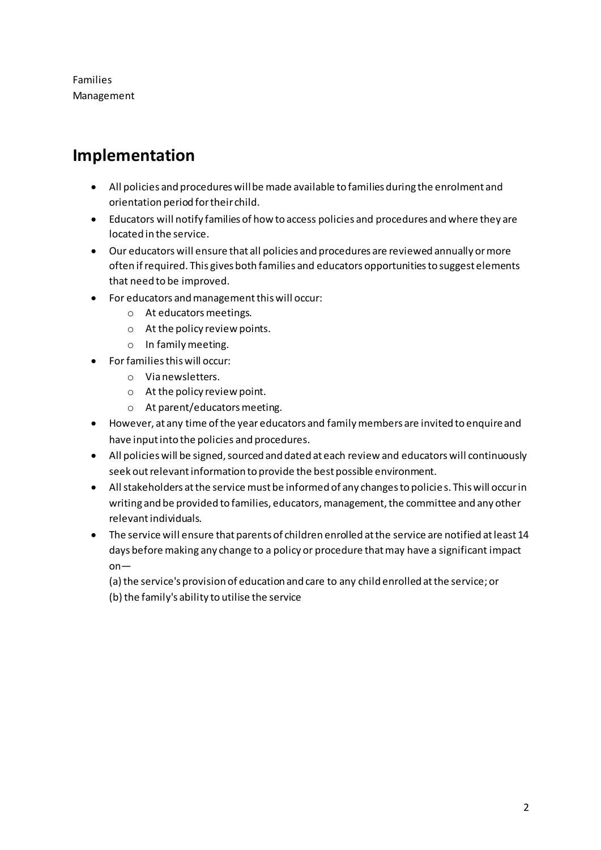Families Management

#### **Implementation**

- All policies and procedures will be made available to families during the enrolment and orientation period for their child.
- Educators will notify families of how to access policies and procedures and where they are located in the service.
- Our educators will ensure that all policies and procedures are reviewed annually or more often if required. This gives both families and educators opportunities to suggest elements that need to be improved.
- For educators and management this will occur:
	- o At educators meetings.
	- o At the policy review points.
	- o In family meeting.
- For families this will occur:
	- o Via newsletters.
	- o At the policy review point.
	- o At parent/educators meeting.
- However, at any time of the year educators and family members are invited to enquire and have input into the policies and procedures.
- All policies will be signed, sourced and dated at each review and educators will continuously seek out relevant information to provide the best possible environment.
- All stakeholders at the service must be informed of any changes to policie s. This will occur in writing and be provided to families, educators, management, the committee and any other relevant individuals.
- The service will ensure that parents of children enrolled at the service are notified at least 14 days before making any change to a policy or procedure that may have a significant impact on—

(a) the service's provision of education and care to any child enrolled at the service; or (b) the family's ability to utilise the service